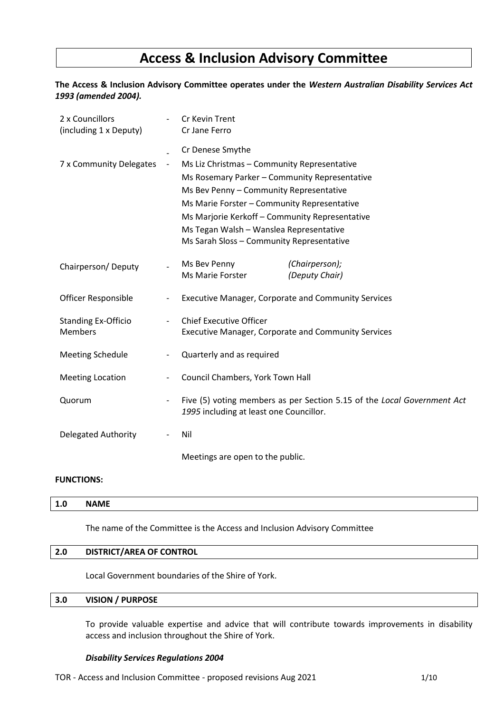# **Access & Inclusion Advisory Committee**

## **The Access & Inclusion Advisory Committee operates under the** *Western Australian Disability Services Act 1993 (amended 2004).*

| 2 x Councillors<br>(including 1 x Deputy)    |                              | Cr Kevin Trent<br>Cr Jane Ferro                                                                                                                                                                                                                                                                                                                      |  |  |  |
|----------------------------------------------|------------------------------|------------------------------------------------------------------------------------------------------------------------------------------------------------------------------------------------------------------------------------------------------------------------------------------------------------------------------------------------------|--|--|--|
| 7 x Community Delegates                      | $\qquad \qquad \blacksquare$ | Cr Denese Smythe<br>Ms Liz Christmas - Community Representative<br>Ms Rosemary Parker - Community Representative<br>Ms Bev Penny - Community Representative<br>Ms Marie Forster - Community Representative<br>Ms Marjorie Kerkoff - Community Representative<br>Ms Tegan Walsh - Wanslea Representative<br>Ms Sarah Sloss - Community Representative |  |  |  |
| Chairperson/Deputy                           |                              | Ms Bev Penny<br>(Chairperson);<br>(Deputy Chair)<br>Ms Marie Forster                                                                                                                                                                                                                                                                                 |  |  |  |
| <b>Officer Responsible</b>                   | $\overline{\phantom{a}}$     | <b>Executive Manager, Corporate and Community Services</b>                                                                                                                                                                                                                                                                                           |  |  |  |
| <b>Standing Ex-Officio</b><br><b>Members</b> |                              | <b>Chief Executive Officer</b><br><b>Executive Manager, Corporate and Community Services</b>                                                                                                                                                                                                                                                         |  |  |  |
| <b>Meeting Schedule</b>                      | $\overline{\phantom{a}}$     | Quarterly and as required                                                                                                                                                                                                                                                                                                                            |  |  |  |
| <b>Meeting Location</b>                      | $\overline{\phantom{a}}$     | Council Chambers, York Town Hall                                                                                                                                                                                                                                                                                                                     |  |  |  |
| Quorum                                       | $\overline{\phantom{a}}$     | Five (5) voting members as per Section 5.15 of the Local Government Act<br>1995 including at least one Councillor.                                                                                                                                                                                                                                   |  |  |  |
| Delegated Authority                          |                              | Nil                                                                                                                                                                                                                                                                                                                                                  |  |  |  |
|                                              |                              | Meetings are open to the public.                                                                                                                                                                                                                                                                                                                     |  |  |  |

## **FUNCTIONS:**

| 1.0 | <b>NAME</b> |  |  |  |  |  |  |  |
|-----|-------------|--|--|--|--|--|--|--|
|     |             |  |  |  |  |  |  |  |

The name of the Committee is the Access and Inclusion Advisory Committee

## **2.0 DISTRICT/AREA OF CONTROL**

Local Government boundaries of the Shire of York.

# **3.0 VISION / PURPOSE**

To provide valuable expertise and advice that will contribute towards improvements in disability access and inclusion throughout the Shire of York.

#### *Disability Services Regulations 2004*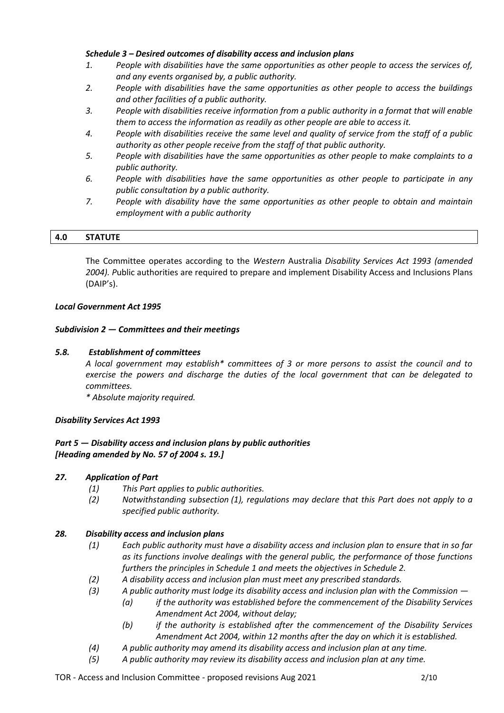## *Schedule 3 – Desired outcomes of disability access and inclusion plans*

- *1. People with disabilities have the same opportunities as other people to access the services of, and any events organised by, a public authority.*
- *2. People with disabilities have the same opportunities as other people to access the buildings and other facilities of a public authority.*
- *3. People with disabilities receive information from a public authority in a format that will enable them to access the information as readily as other people are able to access it.*
- *4. People with disabilities receive the same level and quality of service from the staff of a public authority as other people receive from the staff of that public authority.*
- *5. People with disabilities have the same opportunities as other people to make complaints to a public authority.*
- *6. People with disabilities have the same opportunities as other people to participate in any public consultation by a public authority.*
- *7. People with disability have the same opportunities as other people to obtain and maintain employment with a public authority*

|  | <b>STATUTE</b><br>4.0 |  |
|--|-----------------------|--|
|--|-----------------------|--|

The Committee operates according to the *Western* Australia *Disability Services Act 1993 (amended 2004). P*ublic authorities are required to prepare and implement Disability Access and Inclusions Plans (DAIP's).

## *Local Government Act 1995*

## *Subdivision 2 — Committees and their meetings*

## *5.8. Establishment of committees*

*A local government may establish\* committees of 3 or more persons to assist the council and to exercise the powers and discharge the duties of the local government that can be delegated to committees.*

*\* Absolute majority required.*

## *Disability Services Act 1993*

# *Part 5 — Disability access and inclusion plans by public authorities [Heading amended by No. 57 of 2004 s. 19.]*

# *27. Application of Part*

- *(1) This Part applies to public authorities.*
- *(2) Notwithstanding subsection (1), regulations may declare that this Part does not apply to a specified public authority.*

## *28. Disability access and inclusion plans*

- *(1) Each public authority must have a disability access and inclusion plan to ensure that in so far as its functions involve dealings with the general public, the performance of those functions furthers the principles in Schedule 1 and meets the objectives in Schedule 2.*
- *(2) A disability access and inclusion plan must meet any prescribed standards.*
- *(3) A public authority must lodge its disability access and inclusion plan with the Commission —*
	- *(a) if the authority was established before the commencement of the Disability Services Amendment Act 2004, without delay;*
		- *(b) if the authority is established after the commencement of the Disability Services Amendment Act 2004, within 12 months after the day on which it is established.*
- *(4) A public authority may amend its disability access and inclusion plan at any time.*
- *(5) A public authority may review its disability access and inclusion plan at any time.*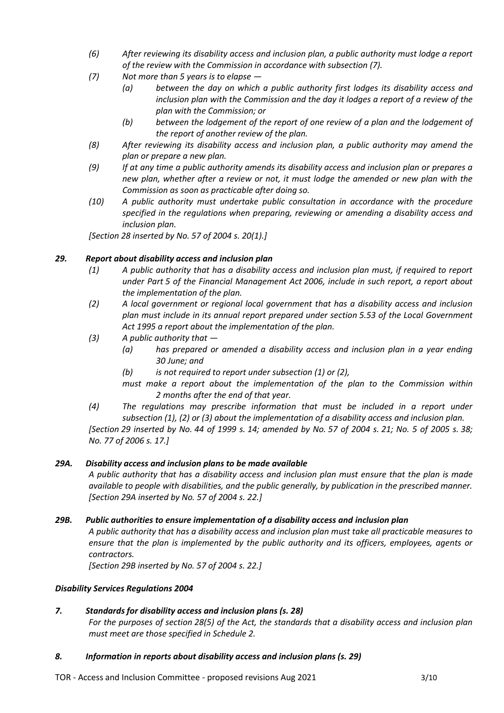- *(6) After reviewing its disability access and inclusion plan, a public authority must lodge a report of the review with the Commission in accordance with subsection (7).*
- *(7) Not more than 5 years is to elapse —*
	- *(a) between the day on which a public authority first lodges its disability access and inclusion plan with the Commission and the day it lodges a report of a review of the plan with the Commission; or*
	- *(b) between the lodgement of the report of one review of a plan and the lodgement of the report of another review of the plan.*
- *(8) After reviewing its disability access and inclusion plan, a public authority may amend the plan or prepare a new plan.*
- *(9) If at any time a public authority amends its disability access and inclusion plan or prepares a new plan, whether after a review or not, it must lodge the amended or new plan with the Commission as soon as practicable after doing so.*
- *(10) A public authority must undertake public consultation in accordance with the procedure specified in the regulations when preparing, reviewing or amending a disability access and inclusion plan.*

*[Section 28 inserted by No. 57 of 2004 s. 20(1).]*

# *29. Report about disability access and inclusion plan*

- *(1) A public authority that has a disability access and inclusion plan must, if required to report under Part 5 of the Financial Management Act 2006, include in such report, a report about the implementation of the plan.*
- *(2) A local government or regional local government that has a disability access and inclusion plan must include in its annual report prepared under section 5.53 of the Local Government Act 1995 a report about the implementation of the plan.*
- *(3) A public authority that —*
	- *(a) has prepared or amended a disability access and inclusion plan in a year ending 30 June; and*
	- *(b) is not required to report under subsection (1) or (2),*
	- *must make a report about the implementation of the plan to the Commission within 2 months after the end of that year.*
- *(4) The regulations may prescribe information that must be included in a report under subsection (1), (2) or (3) about the implementation of a disability access and inclusion plan.*

*[Section 29 inserted by No. 44 of 1999 s. 14; amended by No. 57 of 2004 s. 21; No. 5 of 2005 s. 38; No. 77 of 2006 s. 17.]*

# *29A. Disability access and inclusion plans to be made available*

*A public authority that has a disability access and inclusion plan must ensure that the plan is made available to people with disabilities, and the public generally, by publication in the prescribed manner. [Section 29A inserted by No. 57 of 2004 s. 22.]*

# *29B. Public authorities to ensure implementation of a disability access and inclusion plan*

*A public authority that has a disability access and inclusion plan must take all practicable measures to ensure that the plan is implemented by the public authority and its officers, employees, agents or contractors.*

*[Section 29B inserted by No. 57 of 2004 s. 22.]*

# *Disability Services Regulations 2004*

# *7. Standards for disability access and inclusion plans (s. 28)*

*For the purposes of section 28(5) of the Act, the standards that a disability access and inclusion plan must meet are those specified in Schedule 2.*

# *8. Information in reports about disability access and inclusion plans (s. 29)*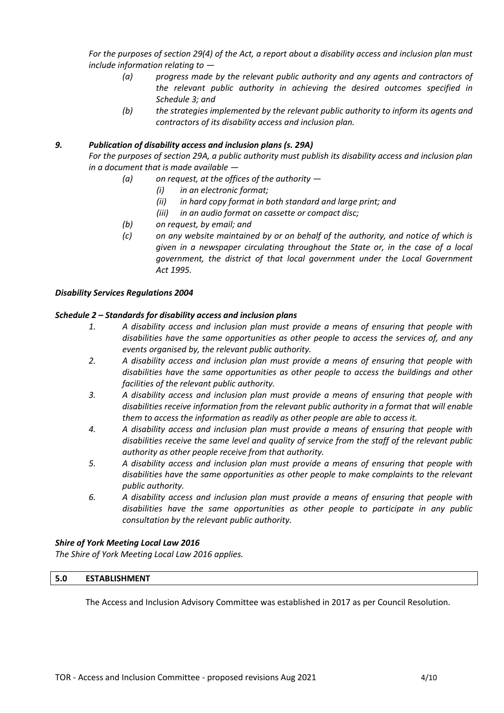*For the purposes of section 29(4) of the Act, a report about a disability access and inclusion plan must include information relating to —*

- *(a) progress made by the relevant public authority and any agents and contractors of the relevant public authority in achieving the desired outcomes specified in Schedule 3; and*
- *(b) the strategies implemented by the relevant public authority to inform its agents and contractors of its disability access and inclusion plan.*

## *9. Publication of disability access and inclusion plans (s. 29A)*

*For the purposes of section 29A, a public authority must publish its disability access and inclusion plan in a document that is made available —*

- *(a) on request, at the offices of the authority —*
	- *(i) in an electronic format;*
	- *(ii) in hard copy format in both standard and large print; and*
	- *(iii) in an audio format on cassette or compact disc;*
- *(b) on request, by email; and*
- *(c) on any website maintained by or on behalf of the authority, and notice of which is given in a newspaper circulating throughout the State or, in the case of a local government, the district of that local government under the Local Government Act 1995.*

#### *Disability Services Regulations 2004*

## *Schedule 2 – Standards for disability access and inclusion plans*

- *1. A disability access and inclusion plan must provide a means of ensuring that people with disabilities have the same opportunities as other people to access the services of, and any events organised by, the relevant public authority.*
- *2. A disability access and inclusion plan must provide a means of ensuring that people with disabilities have the same opportunities as other people to access the buildings and other facilities of the relevant public authority.*
- *3. A disability access and inclusion plan must provide a means of ensuring that people with disabilities receive information from the relevant public authority in a format that will enable them to access the information as readily as other people are able to access it.*
- *4. A disability access and inclusion plan must provide a means of ensuring that people with disabilities receive the same level and quality of service from the staff of the relevant public authority as other people receive from that authority.*
- *5. A disability access and inclusion plan must provide a means of ensuring that people with disabilities have the same opportunities as other people to make complaints to the relevant public authority.*
- *6. A disability access and inclusion plan must provide a means of ensuring that people with disabilities have the same opportunities as other people to participate in any public consultation by the relevant public authority.*

## *Shire of York Meeting Local Law 2016*

*The Shire of York Meeting Local Law 2016 applies.*

## **5.0 ESTABLISHMENT**

The Access and Inclusion Advisory Committee was established in 2017 as per Council Resolution.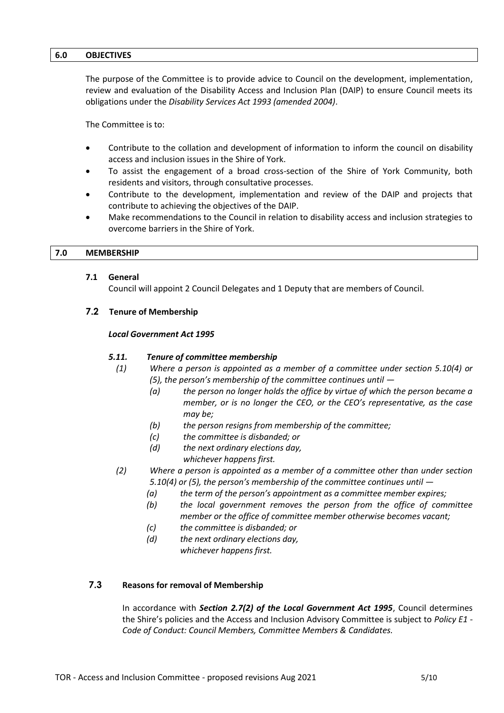#### **6.0 OBJECTIVES**

The purpose of the Committee is to provide advice to Council on the development, implementation, review and evaluation of the Disability Access and Inclusion Plan (DAIP) to ensure Council meets its obligations under the *Disability Services Act 1993 (amended 2004)*.

The Committee is to:

- Contribute to the collation and development of information to inform the council on disability access and inclusion issues in the Shire of York.
- To assist the engagement of a broad cross-section of the Shire of York Community, both residents and visitors, through consultative processes.
- Contribute to the development, implementation and review of the DAIP and projects that contribute to achieving the objectives of the DAIP.
- Make recommendations to the Council in relation to disability access and inclusion strategies to overcome barriers in the Shire of York.

#### **7.0 MEMBERSHIP**

#### **7.1 General**

Council will appoint 2 Council Delegates and 1 Deputy that are members of Council.

## **7.2 Tenure of Membership**

#### *Local Government Act 1995*

#### *5.11. Tenure of committee membership*

- *(1) Where a person is appointed as a member of a committee under section 5.10(4) or (5), the person's membership of the committee continues until —*
	- *(a) the person no longer holds the office by virtue of which the person became a member, or is no longer the CEO, or the CEO's representative, as the case may be;*
	- *(b) the person resigns from membership of the committee;*
	- *(c) the committee is disbanded; or*
	- *(d) the next ordinary elections day,*
		- *whichever happens first.*
- *(2) Where a person is appointed as a member of a committee other than under section 5.10(4) or (5), the person's membership of the committee continues until —*
	- *(a) the term of the person's appointment as a committee member expires;*
	- *(b) the local government removes the person from the office of committee member or the office of committee member otherwise becomes vacant;*
	- *(c) the committee is disbanded; or*
	- *(d) the next ordinary elections day, whichever happens first.*

## **7.3 Reasons for removal of Membership**

In accordance with *Section 2.7(2) of the Local Government Act 1995*, Council determines the Shire's policies and the Access and Inclusion Advisory Committee is subject to *Policy E1 - Code of Conduct: Council Members, Committee Members & Candidates.*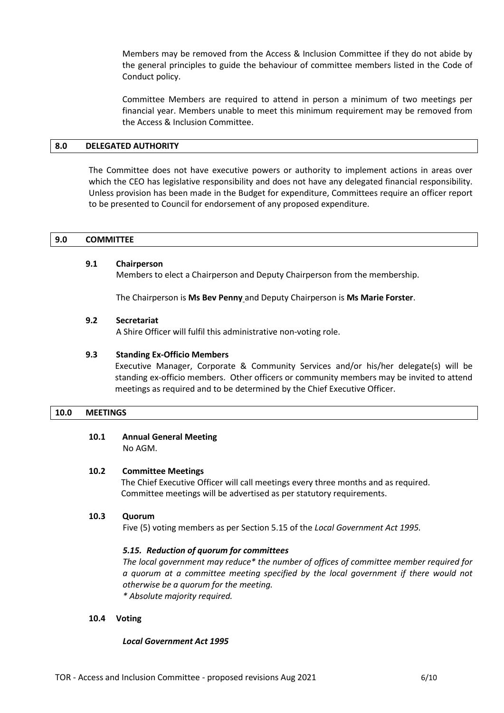Members may be removed from the Access & Inclusion Committee if they do not abide by the general principles to guide the behaviour of committee members listed in the Code of Conduct policy.

Committee Members are required to attend in person a minimum of two meetings per financial year. Members unable to meet this minimum requirement may be removed from the Access & Inclusion Committee.

#### **8.0 DELEGATED AUTHORITY**

The Committee does not have executive powers or authority to implement actions in areas over which the CEO has legislative responsibility and does not have any delegated financial responsibility. Unless provision has been made in the Budget for expenditure, Committees require an officer report to be presented to Council for endorsement of any proposed expenditure.

#### **9.0 COMMITTEE**

#### **9.1 Chairperson**

Members to elect a Chairperson and Deputy Chairperson from the membership.

The Chairperson is **Ms Bev Penny** and Deputy Chairperson is **Ms Marie Forster**.

#### **9.2 Secretariat**

A Shire Officer will fulfil this administrative non-voting role.

#### **9.3 Standing Ex-Officio Members**

Executive Manager, Corporate & Community Services and/or his/her delegate(s) will be standing ex-officio members. Other officers or community members may be invited to attend meetings as required and to be determined by the Chief Executive Officer.

#### **10.0 MEETINGS**

#### **10.1 Annual General Meeting**  No AGM.

#### **10.2 Committee Meetings**

The Chief Executive Officer will call meetings every three months and as required. Committee meetings will be advertised as per statutory requirements.

#### **10.3 Quorum**

Five (5) voting members as per Section 5.15 of the *Local Government Act 1995.*

#### *5.15. Reduction of quorum for committees*

*The local government may reduce\* the number of offices of committee member required for a quorum at a committee meeting specified by the local government if there would not otherwise be a quorum for the meeting.*

*\* Absolute majority required.*

#### **10.4 Voting**

#### *Local Government Act 1995*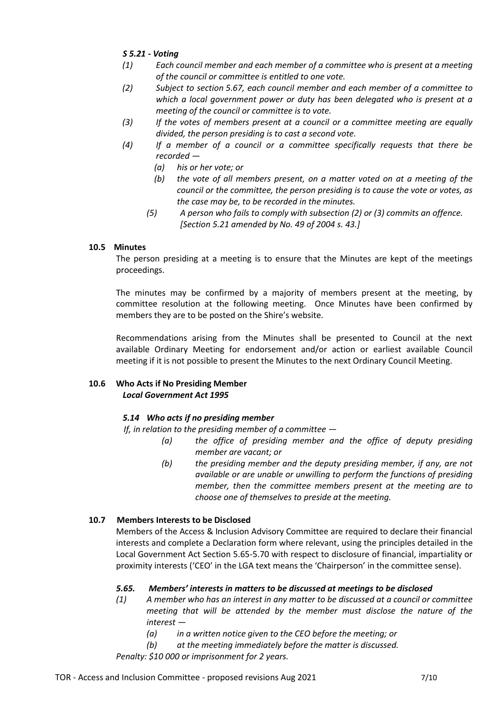# *S 5.21 - Voting*

- *(1) Each council member and each member of a committee who is present at a meeting of the council or committee is entitled to one vote.*
- *(2) Subject to section 5.67, each council member and each member of a committee to which a local government power or duty has been delegated who is present at a meeting of the council or committee is to vote.*
- *(3) If the votes of members present at a council or a committee meeting are equally divided, the person presiding is to cast a second vote.*
- *(4) If a member of a council or a committee specifically requests that there be recorded —*
	- *(a) his or her vote; or*
	- *(b) the vote of all members present, on a matter voted on at a meeting of the council or the committee, the person presiding is to cause the vote or votes, as the case may be, to be recorded in the minutes.*
	- *(5) A person who fails to comply with subsection (2) or (3) commits an offence. [Section 5.21 amended by No. 49 of 2004 s. 43.]*

# **10.5 Minutes**

The person presiding at a meeting is to ensure that the Minutes are kept of the meetings proceedings.

The minutes may be confirmed by a majority of members present at the meeting, by committee resolution at the following meeting. Once Minutes have been confirmed by members they are to be posted on the Shire's website.

Recommendations arising from the Minutes shall be presented to Council at the next available Ordinary Meeting for endorsement and/or action or earliest available Council meeting if it is not possible to present the Minutes to the next Ordinary Council Meeting.

## **10.6 Who Acts if No Presiding Member** *Local Government Act 1995*

# *5.14 Who acts if no presiding member*

*If, in relation to the presiding member of a committee —*

- *(a) the office of presiding member and the office of deputy presiding member are vacant; or*
- *(b) the presiding member and the deputy presiding member, if any, are not available or are unable or unwilling to perform the functions of presiding member, then the committee members present at the meeting are to choose one of themselves to preside at the meeting.*

# **10.7 Members Interests to be Disclosed**

Members of the Access & Inclusion Advisory Committee are required to declare their financial interests and complete a Declaration form where relevant, using the principles detailed in the Local Government Act Section 5.65-5.70 with respect to disclosure of financial, impartiality or proximity interests ('CEO' in the LGA text means the 'Chairperson' in the committee sense).

# *5.65. Members' interests in matters to be discussed at meetings to be disclosed*

- *(1) A member who has an interest in any matter to be discussed at a council or committee meeting that will be attended by the member must disclose the nature of the interest —*
	- *(a) in a written notice given to the CEO before the meeting; or*
	- *(b) at the meeting immediately before the matter is discussed.*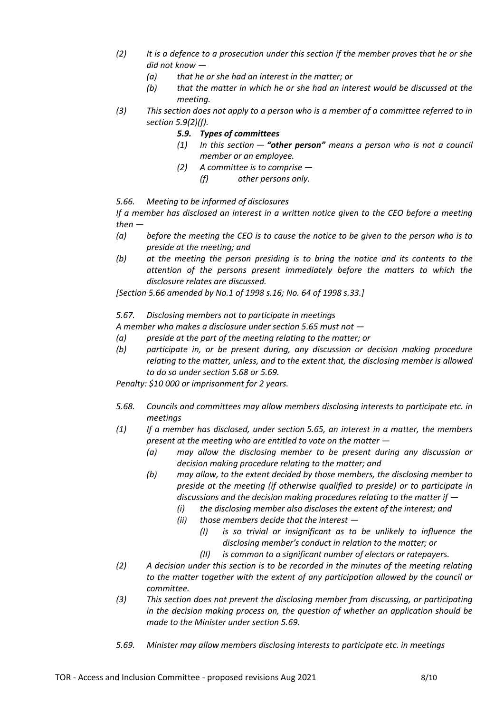- *(2) It is a defence to a prosecution under this section if the member proves that he or she did not know —*
	- *(a) that he or she had an interest in the matter; or*
	- *(b) that the matter in which he or she had an interest would be discussed at the meeting.*
- *(3) This section does not apply to a person who is a member of a committee referred to in section 5.9(2)(f).*
	- *5.9. Types of committees*
	- *(1) In this section — "other person" means a person who is not a council member or an employee.*
	- *(2) A committee is to comprise —*
		- *(f) other persons only.*

*5.66. Meeting to be informed of disclosures*

*If a member has disclosed an interest in a written notice given to the CEO before a meeting then —*

- *(a) before the meeting the CEO is to cause the notice to be given to the person who is to preside at the meeting; and*
- *(b) at the meeting the person presiding is to bring the notice and its contents to the attention of the persons present immediately before the matters to which the disclosure relates are discussed.*

*[Section 5.66 amended by No.1 of 1998 s.16; No. 64 of 1998 s.33.]*

*5.67. Disclosing members not to participate in meetings*

*A member who makes a disclosure under section 5.65 must not —*

- *(a) preside at the part of the meeting relating to the matter; or*
- *(b) participate in, or be present during, any discussion or decision making procedure relating to the matter, unless, and to the extent that, the disclosing member is allowed to do so under section 5.68 or 5.69.*

- *5.68. Councils and committees may allow members disclosing interests to participate etc. in meetings*
- *(1) If a member has disclosed, under section 5.65, an interest in a matter, the members present at the meeting who are entitled to vote on the matter —*
	- *(a) may allow the disclosing member to be present during any discussion or decision making procedure relating to the matter; and*
	- *(b) may allow, to the extent decided by those members, the disclosing member to preside at the meeting (if otherwise qualified to preside) or to participate in discussions and the decision making procedures relating to the matter if —*
		- *(i) the disclosing member also discloses the extent of the interest; and*
		- *(ii) those members decide that the interest —*
			- *(I) is so trivial or insignificant as to be unlikely to influence the disclosing member's conduct in relation to the matter; or*
			- *(II) is common to a significant number of electors or ratepayers.*
- *(2) A decision under this section is to be recorded in the minutes of the meeting relating to the matter together with the extent of any participation allowed by the council or committee.*
- *(3) This section does not prevent the disclosing member from discussing, or participating in the decision making process on, the question of whether an application should be made to the Minister under section 5.69.*
- *5.69. Minister may allow members disclosing interests to participate etc. in meetings*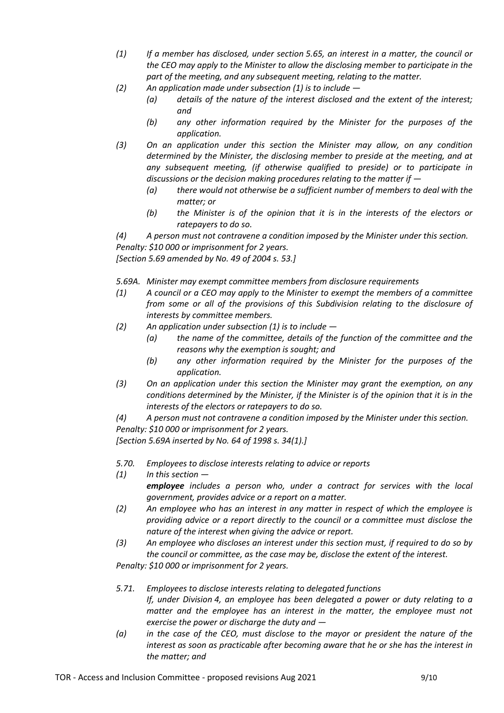- *(1) If a member has disclosed, under section 5.65, an interest in a matter, the council or the CEO may apply to the Minister to allow the disclosing member to participate in the part of the meeting, and any subsequent meeting, relating to the matter.*
- *(2) An application made under subsection (1) is to include —*
	- *(a) details of the nature of the interest disclosed and the extent of the interest; and*
	- *(b) any other information required by the Minister for the purposes of the application.*
- *(3) On an application under this section the Minister may allow, on any condition determined by the Minister, the disclosing member to preside at the meeting, and at any subsequent meeting, (if otherwise qualified to preside) or to participate in discussions or the decision making procedures relating to the matter if —*
	- *(a) there would not otherwise be a sufficient number of members to deal with the matter; or*
	- *(b) the Minister is of the opinion that it is in the interests of the electors or ratepayers to do so.*

*(4) A person must not contravene a condition imposed by the Minister under this section. Penalty: \$10 000 or imprisonment for 2 years.*

*[Section 5.69 amended by No. 49 of 2004 s. 53.]*

*5.69A. Minister may exempt committee members from disclosure requirements*

- *(1) A council or a CEO may apply to the Minister to exempt the members of a committee from some or all of the provisions of this Subdivision relating to the disclosure of interests by committee members.*
- *(2) An application under subsection (1) is to include —*
	- *(a) the name of the committee, details of the function of the committee and the reasons why the exemption is sought; and*
	- *(b) any other information required by the Minister for the purposes of the application.*
- *(3) On an application under this section the Minister may grant the exemption, on any conditions determined by the Minister, if the Minister is of the opinion that it is in the interests of the electors or ratepayers to do so.*

*(4) A person must not contravene a condition imposed by the Minister under this section. Penalty: \$10 000 or imprisonment for 2 years.*

*[Section 5.69A inserted by No. 64 of 1998 s. 34(1).]*

- *5.70. Employees to disclose interests relating to advice or reports*
- *(1) In this section —*

*employee includes a person who, under a contract for services with the local government, provides advice or a report on a matter.*

- *(2) An employee who has an interest in any matter in respect of which the employee is providing advice or a report directly to the council or a committee must disclose the nature of the interest when giving the advice or report.*
- *(3) An employee who discloses an interest under this section must, if required to do so by the council or committee, as the case may be, disclose the extent of the interest.*

- *5.71. Employees to disclose interests relating to delegated functions If, under Division 4, an employee has been delegated a power or duty relating to a*  matter and the employee has an interest in the matter, the employee must not *exercise the power or discharge the duty and —*
- *(a) in the case of the CEO, must disclose to the mayor or president the nature of the interest as soon as practicable after becoming aware that he or she has the interest in the matter; and*